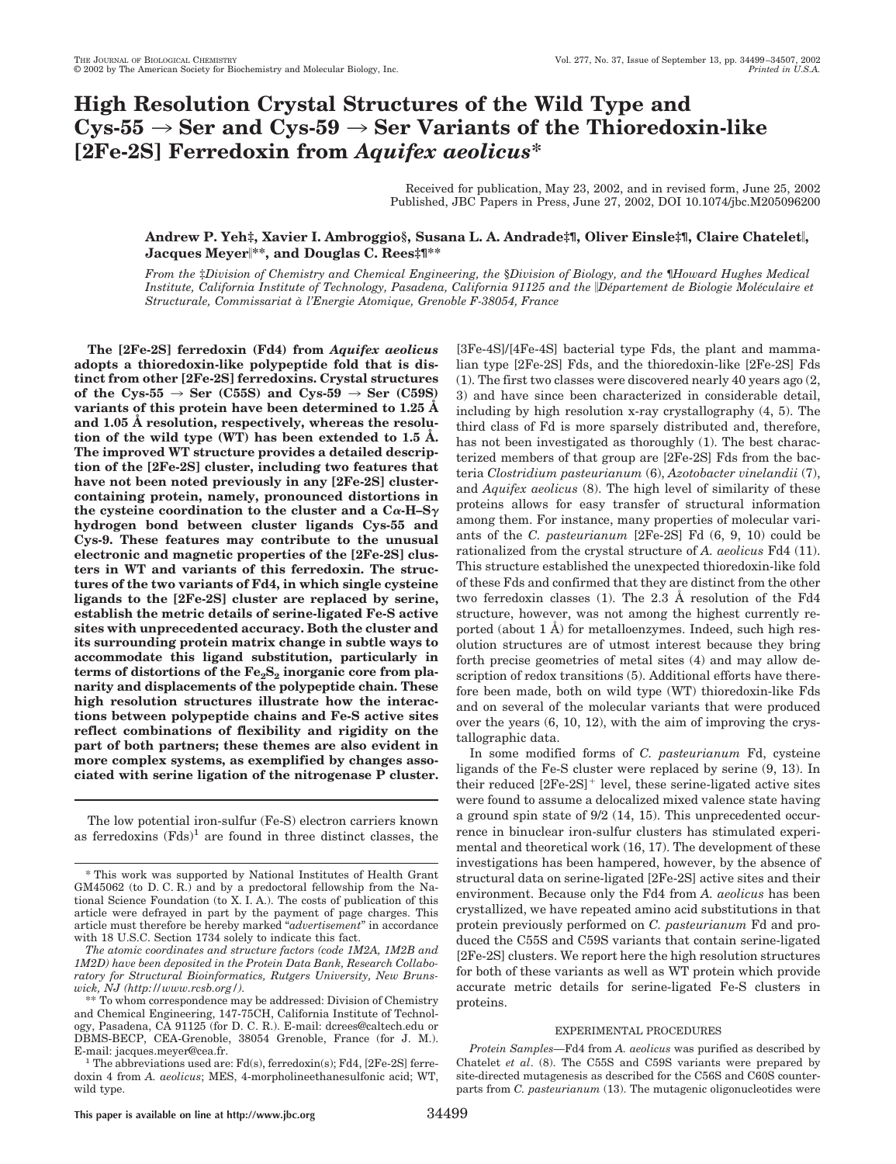# **High Resolution Crystal Structures of the Wild Type and**  $Cys-55 \rightarrow$  Ser and  $Cys-59 \rightarrow$  Ser Variants of the Thioredoxin-like **[2Fe-2S] Ferredoxin from** *Aquifex aeolicus***\***

Received for publication, May 23, 2002, and in revised form, June 25, 2002 Published, JBC Papers in Press, June 27, 2002, DOI 10.1074/jbc.M205096200

# **Andrew P. Yeh‡, Xavier I. Ambroggio§, Susana L. A. Andrade‡¶, Oliver Einsle‡¶, Claire Chatelet, Jacques Meyer\*\*, and Douglas C. Rees‡¶\*\***

*From the* ‡*Division of Chemistry and Chemical Engineering, the* §*Division of Biology, and the* ¶*Howard Hughes Medical Institute, California Institute of Technology, Pasadena, California 91125 and the Département de Biologie Moléculaire et Structurale, Commissariat a` l'Energie Atomique, Grenoble F-38054, France*

**The [2Fe-2S] ferredoxin (Fd4) from** *Aquifex aeolicus* **adopts a thioredoxin-like polypeptide fold that is distinct from other [2Fe-2S] ferredoxins. Crystal structures** of the Cys-55  $\rightarrow$  Ser (C55S) and Cys-59  $\rightarrow$  Ser (C59S) **variants of this protein have been determined to 1.25 Å and 1.05 Å resolution, respectively, whereas the resolution of the wild type (WT) has been extended to 1.5 Å. The improved WT structure provides a detailed description of the [2Fe-2S] cluster, including two features that have not been noted previously in any [2Fe-2S] clustercontaining protein, namely, pronounced distortions in** the cysteine coordination to the cluster and a  $C\alpha$ -H–S $\gamma$ **hydrogen bond between cluster ligands Cys-55 and Cys-9. These features may contribute to the unusual electronic and magnetic properties of the [2Fe-2S] clusters in WT and variants of this ferredoxin. The structures of the two variants of Fd4, in which single cysteine ligands to the [2Fe-2S] cluster are replaced by serine, establish the metric details of serine-ligated Fe-S active sites with unprecedented accuracy. Both the cluster and its surrounding protein matrix change in subtle ways to accommodate this ligand substitution, particularly in** terms of distortions of the  $Fe<sub>2</sub>S<sub>2</sub>$  inorganic core from pla**narity and displacements of the polypeptide chain. These high resolution structures illustrate how the interactions between polypeptide chains and Fe-S active sites reflect combinations of flexibility and rigidity on the part of both partners; these themes are also evident in more complex systems, as exemplified by changes associated with serine ligation of the nitrogenase P cluster.**

The low potential iron-sulfur (Fe-S) electron carriers known as ferredoxins  $(Fds)^1$  are found in three distinct classes, the [3Fe-4S]/[4Fe-4S] bacterial type Fds, the plant and mammalian type [2Fe-2S] Fds, and the thioredoxin-like [2Fe-2S] Fds (1). The first two classes were discovered nearly 40 years ago (2, 3) and have since been characterized in considerable detail, including by high resolution x-ray crystallography (4, 5). The third class of Fd is more sparsely distributed and, therefore, has not been investigated as thoroughly (1). The best characterized members of that group are [2Fe-2S] Fds from the bacteria *Clostridium pasteurianum* (6), *Azotobacter vinelandii* (7), and *Aquifex aeolicus* (8). The high level of similarity of these proteins allows for easy transfer of structural information among them. For instance, many properties of molecular variants of the *C. pasteurianum* [2Fe-2S] Fd (6, 9, 10) could be rationalized from the crystal structure of *A. aeolicus* Fd4 (11). This structure established the unexpected thioredoxin-like fold of these Fds and confirmed that they are distinct from the other two ferredoxin classes (1). The 2.3 Å resolution of the Fd4 structure, however, was not among the highest currently reported (about  $1 \AA$ ) for metalloenzymes. Indeed, such high resolution structures are of utmost interest because they bring forth precise geometries of metal sites (4) and may allow description of redox transitions (5). Additional efforts have therefore been made, both on wild type (WT) thioredoxin-like Fds and on several of the molecular variants that were produced over the years (6, 10, 12), with the aim of improving the crystallographic data.

In some modified forms of *C. pasteurianum* Fd, cysteine ligands of the Fe-S cluster were replaced by serine (9, 13). In their reduced  $[2Fe-2S]^+$  level, these serine-ligated active sites were found to assume a delocalized mixed valence state having a ground spin state of 9/2 (14, 15). This unprecedented occurrence in binuclear iron-sulfur clusters has stimulated experimental and theoretical work (16, 17). The development of these investigations has been hampered, however, by the absence of structural data on serine-ligated [2Fe-2S] active sites and their environment. Because only the Fd4 from *A. aeolicus* has been crystallized, we have repeated amino acid substitutions in that protein previously performed on *C. pasteurianum* Fd and produced the C55S and C59S variants that contain serine-ligated [2Fe-2S] clusters. We report here the high resolution structures for both of these variants as well as WT protein which provide accurate metric details for serine-ligated Fe-S clusters in proteins.

### EXPERIMENTAL PROCEDURES

*Protein Samples—*Fd4 from *A. aeolicus* was purified as described by Chatelet *et al*. (8). The C55S and C59S variants were prepared by site-directed mutagenesis as described for the C56S and C60S counterparts from *C. pasteurianum* (13). The mutagenic oligonucleotides were

<sup>\*</sup> This work was supported by National Institutes of Health Grant GM45062 (to D. C. R.) and by a predoctoral fellowship from the National Science Foundation (to X. I. A.). The costs of publication of this article were defrayed in part by the payment of page charges. This article must therefore be hereby marked "*advertisement*" in accordance with 18 U.S.C. Section 1734 solely to indicate this fact.

*The atomic coordinates and structure factors (code 1M2A, 1M2B and 1M2D) have been deposited in the Protein Data Bank, Research Collaboratory for Structural Bioinformatics, Rutgers University, New Brunswick, NJ (http://www.rcsb.org/).*

<sup>\*\*</sup> To whom correspondence may be addressed: Division of Chemistry and Chemical Engineering, 147-75CH, California Institute of Technology, Pasadena, CA 91125 (for D. C. R.). E-mail: dcrees@caltech.edu or DBMS-BECP, CEA-Grenoble, 38054 Grenoble, France (for J. M.). E-mail: jacques.meyer@cea.fr.  $1$ <br><sup>1</sup> The abbreviations used are: Fd(s), ferredoxin(s); Fd4, [2Fe-2S] ferre-

doxin 4 from *A. aeolicus*; MES, 4-morpholineethanesulfonic acid; WT, wild type.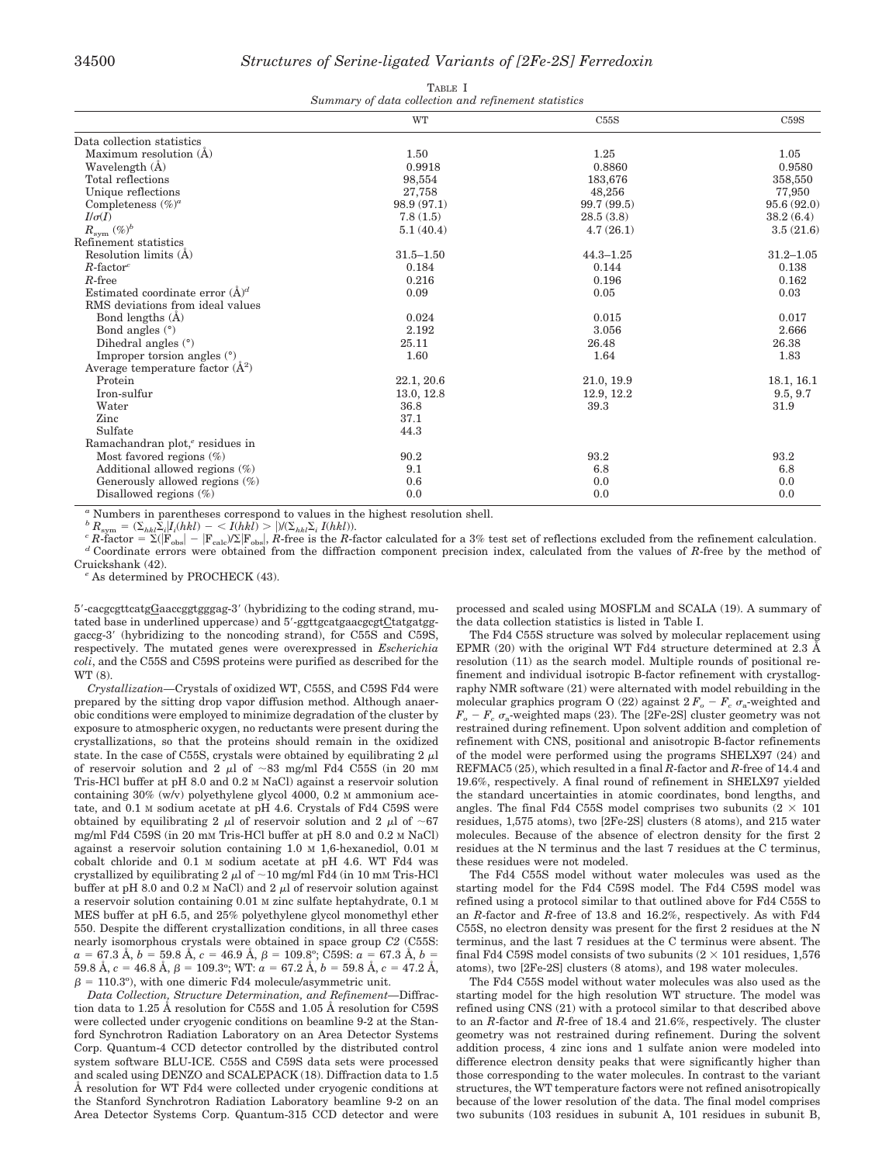| TABLE I |  |  |  |                                                      |  |  |  |  |
|---------|--|--|--|------------------------------------------------------|--|--|--|--|
|         |  |  |  | Summary of data collection and refinement statistics |  |  |  |  |

|                                             | WT            | C55S          | C59S          |
|---------------------------------------------|---------------|---------------|---------------|
| Data collection statistics                  |               |               |               |
| Maximum resolution $(A)$                    | 1.50          | 1.25          | 1.05          |
| Wavelength (Å)                              | 0.9918        | 0.8860        | 0.9580        |
| Total reflections                           | 98,554        | 183,676       | 358,550       |
| Unique reflections                          | 27,758        | 48,256        | 77,950        |
| Completeness $(\%)^a$                       | 98.9(97.1)    | 99.7 (99.5)   | 95.6(92.0)    |
| $I/\sigma(I)$                               | 7.8(1.5)      | 28.5(3.8)     | 38.2(6.4)     |
| $R_{\rm sym}$<br>$(\%)^b$                   | 5.1(40.4)     | 4.7(26.1)     | 3.5(21.6)     |
| Refinement statistics                       |               |               |               |
| Resolution limits (A)                       | $31.5 - 1.50$ | $44.3 - 1.25$ | $31.2 - 1.05$ |
| $R$ -factor <sup>c</sup>                    | 0.184         | 0.144         | 0.138         |
| $R$ -free                                   | 0.216         | 0.196         | 0.162         |
| Estimated coordinate error $(\AA)^d$        | 0.09          | 0.05          | 0.03          |
| RMS deviations from ideal values            |               |               |               |
| Bond lengths $(A)$                          | 0.024         | 0.015         | 0.017         |
| Bond angles $(°)$                           | 2.192         | 3.056         | 2.666         |
| Dihedral angles $(°)$                       | 25.11         | 26.48         | 26.38         |
| Improper torsion angles $(°)$               | 1.60          | 1.64          | 1.83          |
| Average temperature factor $(\AA^2)$        |               |               |               |
| Protein                                     | 22.1, 20.6    | 21.0, 19.9    | 18.1, 16.1    |
| Iron-sulfur                                 | 13.0, 12.8    | 12.9, 12.2    | 9.5, 9.7      |
| Water                                       | 36.8          | 39.3          | 31.9          |
| Zinc                                        | 37.1          |               |               |
| Sulfate                                     | 44.3          |               |               |
| Ramachandran plot, <sup>e</sup> residues in |               |               |               |
| Most favored regions $(\%)$                 | 90.2          | 93.2          | 93.2          |
| Additional allowed regions $(\%)$           | 9.1           | 6.8           | 6.8           |
| Generously allowed regions $(\%)$           | 0.6           | 0.0           | 0.0           |
| Disallowed regions $(\%)$                   | 0.0           | 0.0           | 0.0           |

*<sup>a</sup>* Numbers in parentheses correspond to values in the highest resolution shell.

 ${}^bR_{\mathrm{sym}} = (\Sigma_{hkl}\bar{\Sigma}_i|I_i(hkl) - \langle I(hkl) \rangle) |I(\Sigma_{hkl}\Sigma_i|I(hkl)).$ <br> *c R*-factor =  $\Sigma(|F_{\mathrm{obs}}| - |F_{\mathrm{calc}}/\Sigma|F_{\mathrm{obs}}|, R\text{-free is the } R\text{-f}.$ 

 $\rm \left|F_{obs}\right|$  =  $\rm \left|F_{calc} \right\rangle / \Sigma \rm \left|F_{obs}\right|$ <sup>d</sup> Coordinate errors were obtained from the diffraction component precision index, calculated from the values of R-free by the method of Cruickshank (42)

<sup>e</sup> As determined by PROCHECK (43).

5'-cacgcgttcatgGaaccggtgggag-3' (hybridizing to the coding strand, mutated base in underlined uppercase) and 5'-ggttgcatgaacgcgtCtatgatgggaccg-3' (hybridizing to the noncoding strand), for C55S and C59S, respectively. The mutated genes were overexpressed in *Escherichia coli*, and the C55S and C59S proteins were purified as described for the WT (8).

*Crystallization—*Crystals of oxidized WT, C55S, and C59S Fd4 were prepared by the sitting drop vapor diffusion method. Although anaerobic conditions were employed to minimize degradation of the cluster by exposure to atmospheric oxygen, no reductants were present during the crystallizations, so that the proteins should remain in the oxidized state. In the case of C55S, crystals were obtained by equilibrating  $2 \mu$ l of reservoir solution and 2  $\mu$ l of ~83 mg/ml Fd4 C55S (in 20 mM Tris-HCl buffer at pH 8.0 and 0.2 M NaCl) against a reservoir solution containing 30% (w/v) polyethylene glycol 4000, 0.2 M ammonium acetate, and 0.1 M sodium acetate at pH 4.6. Crystals of Fd4 C59S were obtained by equilibrating 2  $\mu$  of reservoir solution and 2  $\mu$  of ~67 mg/ml Fd4 C59S (in 20 mM Tris-HCl buffer at pH 8.0 and 0.2 M NaCl) against a reservoir solution containing 1.0 M 1,6-hexanediol, 0.01 M cobalt chloride and 0.1 M sodium acetate at pH 4.6. WT Fd4 was crystallized by equilibrating 2  $\mu l$  of  $\sim\!10$  mg/ml Fd4 (in 10 mm Tris-HCl buffer at pH 8.0 and 0.2 M NaCl) and 2  $\mu$ l of reservoir solution against a reservoir solution containing 0.01 M zinc sulfate heptahydrate, 0.1 M MES buffer at pH 6.5, and 25% polyethylene glycol monomethyl ether 550. Despite the different crystallization conditions, in all three cases nearly isomorphous crystals were obtained in space group *C2* (C55S:  $a = 67.3$  Å,  $b = 59.8$  Å,  $c = 46.9$  Å,  $\beta = 109.8^\circ;$  C59S:  $a = 67.3$  Å,  $b =$  $59.8 \text{ Å}, c = 46.8 \text{ Å}, \beta = 109.3^{\circ}; \text{WT: } a = 67.2 \text{ Å}, b = 59.8 \text{ Å}, c = 47.2 \text{ Å},$  $\beta = 110.3^{\circ}$ ), with one dimeric Fd4 molecule/asymmetric unit.

*Data Collection, Structure Determination, and Refinement—*Diffraction data to 1.25 Å resolution for C55S and 1.05 Å resolution for C59S were collected under cryogenic conditions on beamline 9-2 at the Stanford Synchrotron Radiation Laboratory on an Area Detector Systems Corp. Quantum-4 CCD detector controlled by the distributed control system software BLU-ICE. C55S and C59S data sets were processed and scaled using DENZO and SCALEPACK (18). Diffraction data to 1.5 Å resolution for WT Fd4 were collected under cryogenic conditions at the Stanford Synchrotron Radiation Laboratory beamline 9-2 on an Area Detector Systems Corp. Quantum-315 CCD detector and were processed and scaled using MOSFLM and SCALA (19). A summary of the data collection statistics is listed in Table I.

The Fd4 C55S structure was solved by molecular replacement using EPMR (20) with the original WT Fd4 structure determined at 2.3 Å resolution (11) as the search model. Multiple rounds of positional refinement and individual isotropic B-factor refinement with crystallography NMR software (21) were alternated with model rebuilding in the molecular graphics program O (22) against  $2 F_o - F_c \sigma_a$ -weighted and  $F_o - F_c \sigma_a$ -weighted maps (23). The [2Fe-2S] cluster geometry was not restrained during refinement. Upon solvent addition and completion of refinement with CNS, positional and anisotropic B-factor refinements of the model were performed using the programs SHELX97 (24) and REFMAC5 (25), which resulted in a final *R*-factor and *R*-free of 14.4 and 19.6%, respectively. A final round of refinement in SHELX97 yielded the standard uncertainties in atomic coordinates, bond lengths, and angles. The final Fd4 C55S model comprises two subunits  $(2 \times 101)$ residues, 1,575 atoms), two [2Fe-2S] clusters (8 atoms), and 215 water molecules. Because of the absence of electron density for the first 2 residues at the N terminus and the last 7 residues at the C terminus, these residues were not modeled.

The Fd4 C55S model without water molecules was used as the starting model for the Fd4 C59S model. The Fd4 C59S model was refined using a protocol similar to that outlined above for Fd4 C55S to an *R*-factor and *R*-free of 13.8 and 16.2%, respectively. As with Fd4 C55S, no electron density was present for the first 2 residues at the N terminus, and the last 7 residues at the C terminus were absent. The final Fd4 C59S model consists of two subunits  $(2 \times 101 \text{ residues}, 1.576$ atoms), two [2Fe-2S] clusters (8 atoms), and 198 water molecules.

The Fd4 C55S model without water molecules was also used as the starting model for the high resolution WT structure. The model was refined using CNS (21) with a protocol similar to that described above to an *R*-factor and *R*-free of 18.4 and 21.6%, respectively. The cluster geometry was not restrained during refinement. During the solvent addition process, 4 zinc ions and 1 sulfate anion were modeled into difference electron density peaks that were significantly higher than those corresponding to the water molecules. In contrast to the variant structures, the WT temperature factors were not refined anisotropically because of the lower resolution of the data. The final model comprises two subunits (103 residues in subunit A, 101 residues in subunit B,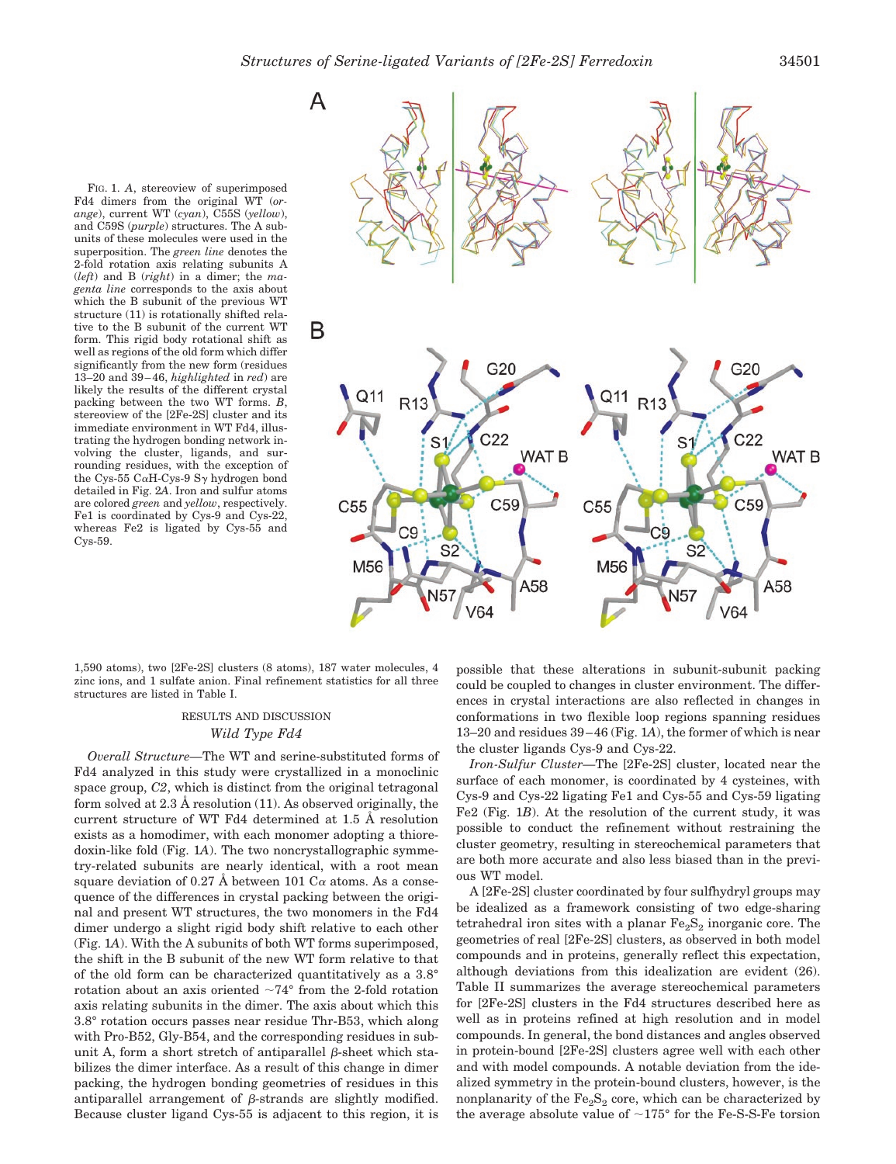FIG. 1. *A*, stereoview of superimposed Fd4 dimers from the original WT (*orange*), current WT (*cyan*), C55S (*yellow*), and C59S (*purple*) structures. The A subunits of these molecules were used in the superposition. The *green line* denotes the 2-fold rotation axis relating subunits A (*left*) and B (*right*) in a dimer; the *magenta line* corresponds to the axis about which the B subunit of the previous WT structure (11) is rotationally shifted relative to the B subunit of the current WT form. This rigid body rotational shift as well as regions of the old form which differ significantly from the new form (residues 13–20 and 39–46, *highlighted* in *red*) are likely the results of the different crystal packing between the two WT forms. *B*, stereoview of the [2Fe-2S] cluster and its immediate environment in WT Fd4, illustrating the hydrogen bonding network involving the cluster, ligands, and surrounding residues, with the exception of the Cys-55 C $\alpha$ H-Cys-9 S $\gamma$  hydrogen bond detailed in Fig. 2*A*. Iron and sulfur atoms are colored *green* and *yellow*, respectively. Fe1 is coordinated by Cys-9 and Cys-22, whereas Fe2 is ligated by Cys-55 and Cys-59.



1,590 atoms), two [2Fe-2S] clusters (8 atoms), 187 water molecules, 4 zinc ions, and 1 sulfate anion. Final refinement statistics for all three structures are listed in Table I.

# RESULTS AND DISCUSSION *Wild Type Fd4*

*Overall Structure—*The WT and serine-substituted forms of Fd4 analyzed in this study were crystallized in a monoclinic space group, *C2*, which is distinct from the original tetragonal form solved at 2.3 Å resolution (11). As observed originally, the current structure of WT Fd4 determined at 1.5 Å resolution exists as a homodimer, with each monomer adopting a thioredoxin-like fold (Fig. 1*A*). The two noncrystallographic symmetry-related subunits are nearly identical, with a root mean square deviation of 0.27 Å between 101  $\rm Ca$  atoms. As a consequence of the differences in crystal packing between the original and present WT structures, the two monomers in the Fd4 dimer undergo a slight rigid body shift relative to each other (Fig. 1*A*). With the A subunits of both WT forms superimposed, the shift in the B subunit of the new WT form relative to that of the old form can be characterized quantitatively as a 3.8° rotation about an axis oriented  $\sim 74^{\circ}$  from the 2-fold rotation axis relating subunits in the dimer. The axis about which this 3.8° rotation occurs passes near residue Thr-B53, which along with Pro-B52, Gly-B54, and the corresponding residues in subunit A, form a short stretch of antiparallel  $\beta$ -sheet which stabilizes the dimer interface. As a result of this change in dimer packing, the hydrogen bonding geometries of residues in this antiparallel arrangement of  $\beta$ -strands are slightly modified. Because cluster ligand Cys-55 is adjacent to this region, it is

possible that these alterations in subunit-subunit packing could be coupled to changes in cluster environment. The differences in crystal interactions are also reflected in changes in conformations in two flexible loop regions spanning residues 13–20 and residues 39–46 (Fig. 1*A*), the former of which is near the cluster ligands Cys-9 and Cys-22.

*Iron-Sulfur Cluster—*The [2Fe-2S] cluster, located near the surface of each monomer, is coordinated by 4 cysteines, with Cys-9 and Cys-22 ligating Fe1 and Cys-55 and Cys-59 ligating Fe2 (Fig. 1*B*). At the resolution of the current study, it was possible to conduct the refinement without restraining the cluster geometry, resulting in stereochemical parameters that are both more accurate and also less biased than in the previous WT model.

A [2Fe-2S] cluster coordinated by four sulfhydryl groups may be idealized as a framework consisting of two edge-sharing tetrahedral iron sites with a planar  $Fe<sub>2</sub>S<sub>2</sub>$  inorganic core. The geometries of real [2Fe-2S] clusters, as observed in both model compounds and in proteins, generally reflect this expectation, although deviations from this idealization are evident (26). Table II summarizes the average stereochemical parameters for [2Fe-2S] clusters in the Fd4 structures described here as well as in proteins refined at high resolution and in model compounds. In general, the bond distances and angles observed in protein-bound [2Fe-2S] clusters agree well with each other and with model compounds. A notable deviation from the idealized symmetry in the protein-bound clusters, however, is the nonplanarity of the  $Fe<sub>2</sub>S<sub>2</sub>$  core, which can be characterized by the average absolute value of  $\sim$ 175 $\degree$  for the Fe-S-S-Fe torsion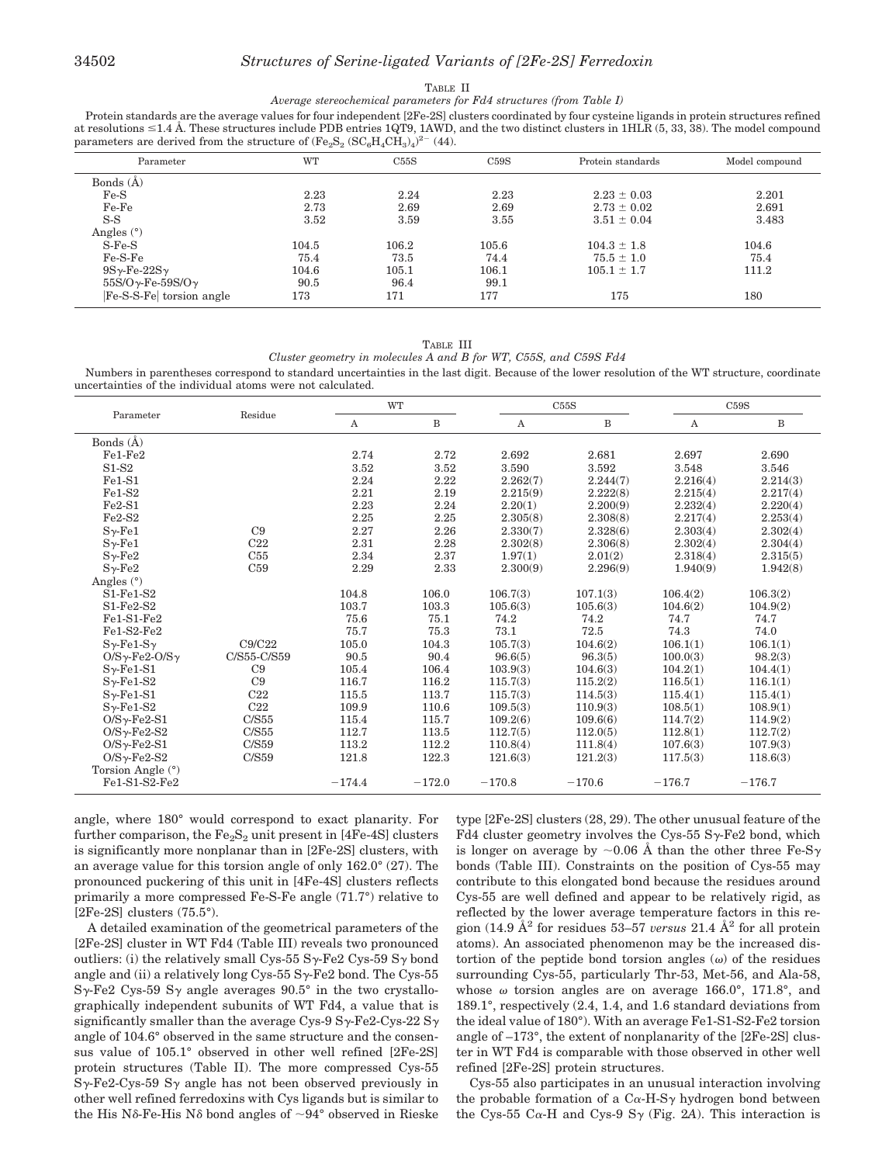# 34502 *Structures of Serine-ligated Variants of [2Fe-2S] Ferredoxin*

#### TABLE II

*Average stereochemical parameters for Fd4 structures (from Table I)*

Protein standards are the average values for four independent [2Fe-2S] clusters coordinated by four cysteine ligands in protein structures refined at resolutions  $\leq 1.4$  Å. These structures include PDB entries 1QT9, 1AWD, and the two distinct clusters in 1HLR (5, 33, 38). The model compound parameters are derived from the structure of  $(\text{Fe}_2\text{S}_2 \text{ (SC}_6\text{H}_4\text{CH}_3)_4)^{2-}$  (44).

| Parameter                        | WT    | C55S  | C59S  | Protein standards | Model compound |
|----------------------------------|-------|-------|-------|-------------------|----------------|
| Bonds (Å)                        |       |       |       |                   |                |
| $Fe-S$                           | 2.23  | 2.24  | 2.23  | $2.23 \pm 0.03$   | 2.201          |
| Fe-Fe                            | 2.73  | 2.69  | 2.69  | $2.73 \pm 0.02$   | 2.691          |
| $S-S$                            | 3.52  | 3.59  | 3.55  | $3.51 \pm 0.04$   | 3.483          |
| Angles $(°)$                     |       |       |       |                   |                |
| $S-Fe-S$                         | 104.5 | 106.2 | 105.6 | $104.3 \pm 1.8$   | 104.6          |
| $Fe-S-Fe$                        | 75.4  | 73.5  | 74.4  | $75.5 \pm 1.0$    | 75.4           |
| $9S\gamma$ -Fe-22S $\gamma$      | 104.6 | 105.1 | 106.1 | $105.1 \pm 1.7$   | 111.2          |
| $55S/O\gamma$ -Fe- $59S/O\gamma$ | 90.5  | 96.4  | 99.1  |                   |                |
| Fe-S-S-Fe torsion angle          | 173   | 171   | 177   | 175               | 180            |

TABLE III

*Cluster geometry in molecules A and B for WT, C55S, and C59S Fd4*

Numbers in parentheses correspond to standard uncertainties in the last digit. Because of the lower resolution of the WT structure, coordinate uncertainties of the individual atoms were not calculated.

| Parameter                       |                 |          | <b>WT</b>    |          | C55S     |          | C59S     |  |
|---------------------------------|-----------------|----------|--------------|----------|----------|----------|----------|--|
|                                 | Residue         | А        | $\, {\bf B}$ | Α        | B        | A        | B        |  |
| Bonds $(\AA)$                   |                 |          |              |          |          |          |          |  |
| $Fe1-Fe2$                       |                 | 2.74     | 2.72         | 2.692    | 2.681    | 2.697    | 2.690    |  |
| $S1-S2$                         |                 | 3.52     | 3.52         | 3.590    | 3.592    | 3.548    | 3.546    |  |
| $Fe1-S1$                        |                 | 2.24     | 2.22         | 2.262(7) | 2.244(7) | 2.216(4) | 2.214(3) |  |
| $Fe1-S2$                        |                 | 2.21     | 2.19         | 2.215(9) | 2.222(8) | 2.215(4) | 2.217(4) |  |
| $Fe2-S1$                        |                 | 2.23     | 2.24         | 2.20(1)  | 2.200(9) | 2.232(4) | 2.220(4) |  |
| $Fe2-S2$                        |                 | 2.25     | 2.25         | 2.305(8) | 2.308(8) | 2.217(4) | 2.253(4) |  |
| $S_{\gamma$ -Fe1                | C9              | 2.27     | 2.26         | 2.330(7) | 2.328(6) | 2.303(4) | 2.302(4) |  |
| $S_{\gamma$ -Fe1                | C <sub>22</sub> | 2.31     | 2.28         | 2.302(8) | 2.306(8) | 2.302(4) | 2.304(4) |  |
| $S_{\gamma$ -Fe2                | C55             | 2.34     | 2.37         | 1.97(1)  | 2.01(2)  | 2.318(4) | 2.315(5) |  |
| $S_{\gamma$ -Fe2                | C59             | 2.29     | 2.33         | 2.300(9) | 2.296(9) | 1.940(9) | 1.942(8) |  |
| Angles $(°)$                    |                 |          |              |          |          |          |          |  |
| $S1-Fe1-S2$                     |                 | 104.8    | 106.0        | 106.7(3) | 107.1(3) | 106.4(2) | 106.3(2) |  |
| $S1-Fe2-S2$                     |                 | 103.7    | 103.3        | 105.6(3) | 105.6(3) | 104.6(2) | 104.9(2) |  |
| $Fe1-S1-Fe2$                    |                 | 75.6     | 75.1         | 74.2     | 74.2     | 74.7     | 74.7     |  |
| $Fe1-S2-Fe2$                    |                 | 75.7     | 75.3         | 73.1     | 72.5     | 74.3     | 74.0     |  |
| $S_{\gamma}$ -Fe1- $S_{\gamma}$ | C9/C22          | 105.0    | 104.3        | 105.7(3) | 104.6(2) | 106.1(1) | 106.1(1) |  |
| $O/S\gamma$ -Fe2- $O/S\gamma$   | C/S55-C/S59     | 90.5     | 90.4         | 96.6(5)  | 96.3(5)  | 100.0(3) | 98.2(3)  |  |
| $S_{\gamma}$ -Fe1-S1            | C9              | 105.4    | 106.4        | 103.9(3) | 104.6(3) | 104.2(1) | 104.4(1) |  |
| $S_{\gamma}$ -Fe1-S2            | C9              | 116.7    | 116.2        | 115.7(3) | 115.2(2) | 116.5(1) | 116.1(1) |  |
| $S_{\gamma}$ -Fe1-S1            | C22             | 115.5    | 113.7        | 115.7(3) | 114.5(3) | 115.4(1) | 115.4(1) |  |
| $S_vFe1-S2$                     | C22             | 109.9    | 110.6        | 109.5(3) | 110.9(3) | 108.5(1) | 108.9(1) |  |
| $O/Sy-Fe2-S1$                   | C/S55           | 115.4    | 115.7        | 109.2(6) | 109.6(6) | 114.7(2) | 114.9(2) |  |
| $O/S\gamma$ -Fe2-S2             | C/S55           | 112.7    | 113.5        | 112.7(5) | 112.0(5) | 112.8(1) | 112.7(2) |  |
| $O/S\gamma$ -Fe2-S1             | C/S59           | 113.2    | 112.2        | 110.8(4) | 111.8(4) | 107.6(3) | 107.9(3) |  |
| $O/S\gamma$ -Fe2-S2             | C/S59           | 121.8    | 122.3        | 121.6(3) | 121.2(3) | 117.5(3) | 118.6(3) |  |
| Torsion Angle (°)               |                 |          |              |          |          |          |          |  |
| $Fe1-S1-S2-Fe2$                 |                 | $-174.4$ | $-172.0$     | $-170.8$ | $-170.6$ | $-176.7$ | $-176.7$ |  |

angle, where 180° would correspond to exact planarity. For further comparison, the  $Fe<sub>2</sub>S<sub>2</sub>$  unit present in [4Fe-4S] clusters is significantly more nonplanar than in [2Fe-2S] clusters, with an average value for this torsion angle of only 162.0° (27). The pronounced puckering of this unit in [4Fe-4S] clusters reflects primarily a more compressed Fe-S-Fe angle (71.7°) relative to [2Fe-2S] clusters (75.5°).

A detailed examination of the geometrical parameters of the [2Fe-2S] cluster in WT Fd4 (Table III) reveals two pronounced outliers: (i) the relatively small Cys-55 S $\gamma$ -Fe2 Cys-59 S $\gamma$  bond angle and (ii) a relatively long Cys-55  $S_{\gamma}$ -Fe2 bond. The Cys-55  $S_{\gamma}$ -Fe2 Cys-59  $S_{\gamma}$  angle averages 90.5° in the two crystallographically independent subunits of WT Fd4, a value that is significantly smaller than the average Cys-9 S $\gamma$ -Fe2-Cys-22 S $\gamma$ angle of 104.6° observed in the same structure and the consensus value of 105.1° observed in other well refined [2Fe-2S] protein structures (Table II). The more compressed Cys-55  $S_{\gamma}$ -Fe2-Cys-59  $S_{\gamma}$  angle has not been observed previously in other well refined ferredoxins with Cys ligands but is similar to the His N $\delta$ -Fe-His N $\delta$  bond angles of  $\sim 94^{\circ}$  observed in Rieske type [2Fe-2S] clusters (28, 29). The other unusual feature of the Fd4 cluster geometry involves the Cys-55  $S_{\gamma}$ -Fe2 bond, which is longer on average by  $\sim 0.06$  Å than the other three Fe-S<sub>7</sub> bonds (Table III). Constraints on the position of Cys-55 may contribute to this elongated bond because the residues around Cys-55 are well defined and appear to be relatively rigid, as reflected by the lower average temperature factors in this region (14.9  $\AA^2$  for residues 53–57 *versus* 21.4  $\AA^2$  for all protein atoms). An associated phenomenon may be the increased distortion of the peptide bond torsion angles  $(\omega)$  of the residues surrounding Cys-55, particularly Thr-53, Met-56, and Ala-58, whose  $\omega$  torsion angles are on average 166.0°, 171.8°, and 189.1°, respectively (2.4, 1.4, and 1.6 standard deviations from the ideal value of 180°). With an average Fe1-S1-S2-Fe2 torsion angle of –173°, the extent of nonplanarity of the [2Fe-2S] cluster in WT Fd4 is comparable with those observed in other well refined [2Fe-2S] protein structures.

Cys-55 also participates in an unusual interaction involving the probable formation of a  $C_{\alpha}$ -H-S<sub> $\gamma$ </sub> hydrogen bond between the Cys-55 C $\alpha$ -H and Cys-9 S $\gamma$  (Fig. 2*A*). This interaction is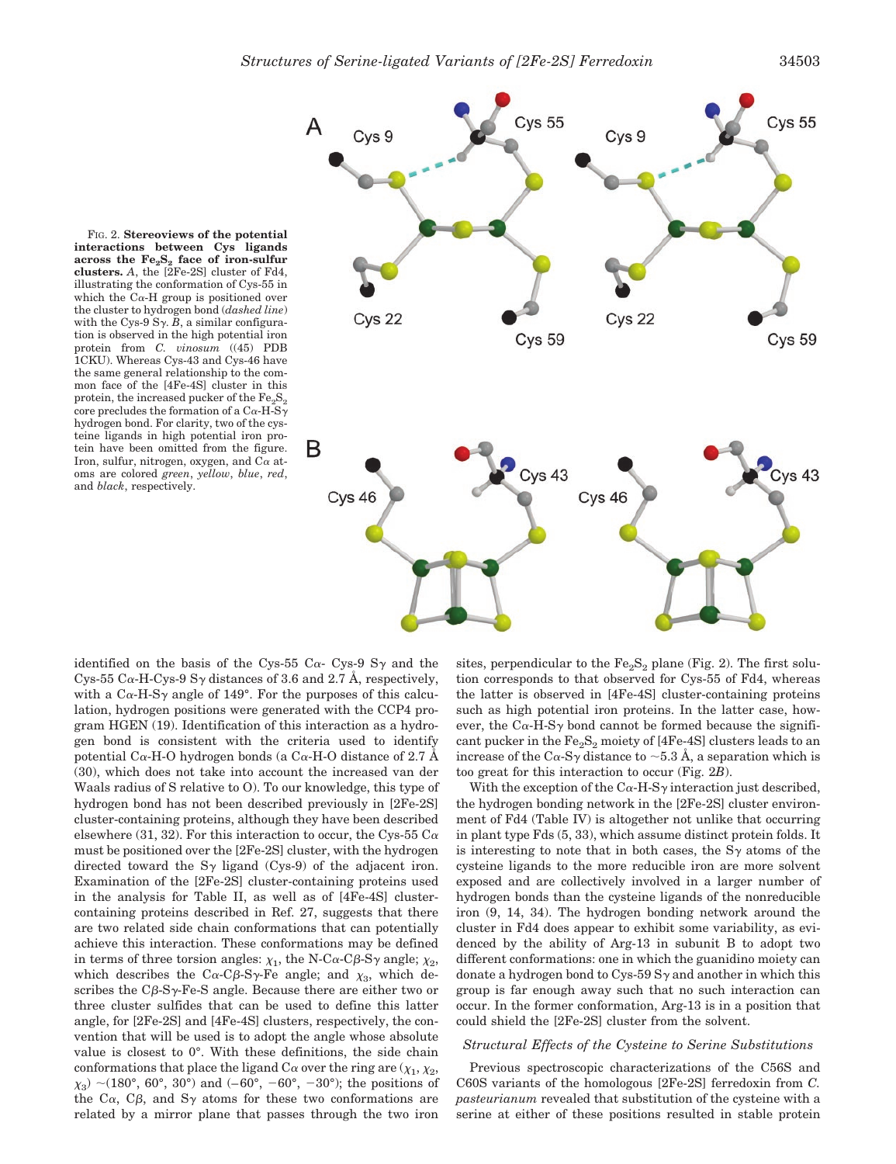

FIG. 2. **Stereoviews of the potential interactions between Cys ligands** across the  $Fe<sub>2</sub>S<sub>2</sub>$  face of iron-sulfur **clusters.** *A*, the [2Fe-2S] cluster of Fd4, illustrating the conformation of Cys-55 in which the  $C_{\alpha}$ -H group is positioned over the cluster to hydrogen bond (*dashed line*) with the Cys-9 S $\gamma$ , B, a similar configuration is observed in the high potential iron protein from *C. vinosum* ((45) PDB 1CKU). Whereas Cys-43 and Cys-46 have the same general relationship to the common face of the [4Fe-4S] cluster in this protein, the increased pucker of the  $Fe<sub>2</sub>S<sub>2</sub>$ core precludes the formation of a C $\alpha$ -H-S $\gamma$ hydrogen bond. For clarity, two of the cysteine ligands in high potential iron protein have been omitted from the figure. Iron, sulfur, nitrogen, oxygen, and  $C\alpha$  atoms are colored *green*, *yellow*, *blue*, *red*, and *black*, respectively.

identified on the basis of the Cys-55 C $\alpha$ - Cys-9 S $\gamma$  and the Cys-55 C $\alpha$ -H-Cys-9 S $\gamma$  distances of 3.6 and 2.7 Å, respectively, with a  $C\alpha$ -H-S<sub> $\gamma$ </sub> angle of 149°. For the purposes of this calculation, hydrogen positions were generated with the CCP4 program HGEN (19). Identification of this interaction as a hydrogen bond is consistent with the criteria used to identify potential C $\alpha$ -H-O hydrogen bonds (a C $\alpha$ -H-O distance of 2.7 Å (30), which does not take into account the increased van der Waals radius of S relative to O). To our knowledge, this type of hydrogen bond has not been described previously in [2Fe-2S] cluster-containing proteins, although they have been described elsewhere (31, 32). For this interaction to occur, the Cys-55 C $\alpha$ must be positioned over the [2Fe-2S] cluster, with the hydrogen directed toward the  $S_{\gamma}$  ligand (Cys-9) of the adjacent iron. Examination of the [2Fe-2S] cluster-containing proteins used in the analysis for Table II, as well as of [4Fe-4S] clustercontaining proteins described in Ref. 27, suggests that there are two related side chain conformations that can potentially achieve this interaction. These conformations may be defined in terms of three torsion angles:  $\chi_1$ , the N-C $\alpha$ -C $\beta$ -S $\gamma$  angle;  $\chi_2$ , which describes the C $\alpha$ -C $\beta$ -S $\gamma$ -Fe angle; and  $\chi_3$ , which describes the  $C\beta$ -S $\gamma$ -Fe-S angle. Because there are either two or three cluster sulfides that can be used to define this latter angle, for [2Fe-2S] and [4Fe-4S] clusters, respectively, the convention that will be used is to adopt the angle whose absolute value is closest to 0°. With these definitions, the side chain conformations that place the ligand C $\alpha$  over the ring are  $(\chi_1, \chi_2, \chi_3)$  $\chi_3$ ) ~(180°, 60°, 30°) and (–60°, –60°, –30°); the positions of the C $\alpha$ , C $\beta$ , and S $\gamma$  atoms for these two conformations are related by a mirror plane that passes through the two iron

sites, perpendicular to the  $Fe<sub>2</sub>S<sub>2</sub>$  plane (Fig. 2). The first solution corresponds to that observed for Cys-55 of Fd4, whereas the latter is observed in [4Fe-4S] cluster-containing proteins such as high potential iron proteins. In the latter case, however, the C $\alpha$ -H-S $\gamma$  bond cannot be formed because the significant pucker in the  $Fe<sub>2</sub>S<sub>2</sub>$  moiety of [4Fe-4S] clusters leads to an increase of the C $\alpha$ -S $\gamma$  distance to  $\sim$  5.3 Å, a separation which is too great for this interaction to occur (Fig. 2*B*).

With the exception of the C $\alpha$ -H-S $\gamma$  interaction just described, the hydrogen bonding network in the [2Fe-2S] cluster environment of Fd4 (Table IV) is altogether not unlike that occurring in plant type Fds (5, 33), which assume distinct protein folds. It is interesting to note that in both cases, the  $S_{\gamma}$  atoms of the cysteine ligands to the more reducible iron are more solvent exposed and are collectively involved in a larger number of hydrogen bonds than the cysteine ligands of the nonreducible iron (9, 14, 34). The hydrogen bonding network around the cluster in Fd4 does appear to exhibit some variability, as evidenced by the ability of Arg-13 in subunit B to adopt two different conformations: one in which the guanidino moiety can donate a hydrogen bond to Cys-59  $S<sub>\gamma</sub>$  and another in which this group is far enough away such that no such interaction can occur. In the former conformation, Arg-13 is in a position that could shield the [2Fe-2S] cluster from the solvent.

# *Structural Effects of the Cysteine to Serine Substitutions*

Previous spectroscopic characterizations of the C56S and C60S variants of the homologous [2Fe-2S] ferredoxin from *C. pasteurianum* revealed that substitution of the cysteine with a serine at either of these positions resulted in stable protein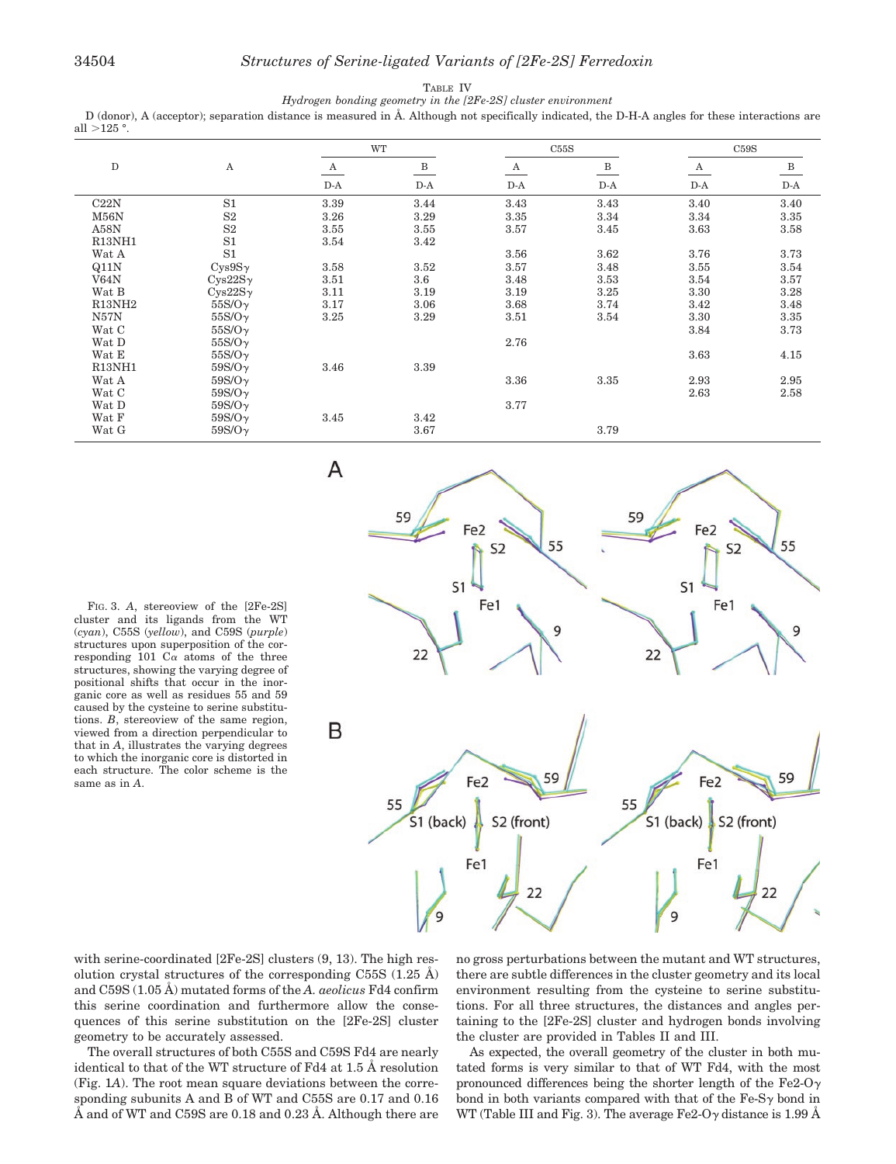#### TABLE IV *Hydrogen bonding geometry in the [2Fe-2S] cluster environment*

D (donor), A (acceptor); separation distance is measured in Å. Although not specifically indicated, the D-H-A angles for these interactions are all  $>125$  °.

|                    |                | WT           |              | C55S             |              | C59S  |                                |
|--------------------|----------------|--------------|--------------|------------------|--------------|-------|--------------------------------|
| ${\rm D}$          | A              | $\mathbf{A}$ | $\, {\bf B}$ | $\boldsymbol{A}$ | $\, {\bf B}$ | A     | $\overline{B}$                 |
|                    |                | $D-A$        | $D-A$        | $D-A$            | $D-A$        | $D-A$ | $\mathbf{D}\text{-}\mathbf{A}$ |
| C22N               | S1             | 3.39         | 3.44         | 3.43             | 3.43         | 3.40  | 3.40                           |
| M56N               | S <sub>2</sub> | 3.26         | 3.29         | 3.35             | 3.34         | 3.34  | 3.35                           |
| A58N               | S <sub>2</sub> | 3.55         | 3.55         | 3.57             | 3.45         | 3.63  | 3.58                           |
| R13NH1             | S <sub>1</sub> | 3.54         | 3.42         |                  |              |       |                                |
| Wat A              | S <sub>1</sub> |              |              | 3.56             | 3.62         | 3.76  | 3.73                           |
| Q11N               | $Cys9S\gamma$  | 3.58         | 3.52         | 3.57             | 3.48         | 3.55  | 3.54                           |
| V64N               | $Cys22S\gamma$ | 3.51         | 3.6          | 3.48             | 3.53         | 3.54  | 3.57                           |
| Wat B              | $Cys22S\gamma$ | 3.11         | 3.19         | 3.19             | 3.25         | 3.30  | 3.28                           |
| R13NH <sub>2</sub> | $55S/O\gamma$  | 3.17         | 3.06         | 3.68             | 3.74         | 3.42  | 3.48                           |
| N57N               | $55S/O\gamma$  | 3.25         | 3.29         | 3.51             | 3.54         | 3.30  | 3.35                           |
| Wat C              | $55S/O\gamma$  |              |              |                  |              | 3.84  | 3.73                           |
| Wat D              | $55S/O\gamma$  |              |              | 2.76             |              |       |                                |
| Wat E              | $55S/O\gamma$  |              |              |                  |              | 3.63  | 4.15                           |
| R13NH1             | $59S/O\gamma$  | 3.46         | 3.39         |                  |              |       |                                |
| Wat A              | $59S/O\gamma$  |              |              | 3.36             | 3.35         | 2.93  | 2.95                           |
| Wat C              | $59S/O\gamma$  |              |              |                  |              | 2.63  | 2.58                           |
| Wat D              | $59S/O\gamma$  |              |              | 3.77             |              |       |                                |
| Wat F              | $59S/O\gamma$  | 3.45         | 3.42         |                  |              |       |                                |
| Wat G              | $59S/O\gamma$  |              | 3.67         |                  | 3.79         |       |                                |

FIG. 3. *A*, stereoview of the [2Fe-2S] cluster and its ligands from the WT (*cyan*), C55S (*yellow*), and C59S (*purple*) structures upon superposition of the corresponding 101  $C_{\alpha}$  atoms of the three structures, showing the varying degree of positional shifts that occur in the inorganic core as well as residues 55 and 59 caused by the cysteine to serine substitutions. *B*, stereoview of the same region, viewed from a direction perpendicular to that in *A*, illustrates the varying degrees to which the inorganic core is distorted in each structure. The color scheme is the same as in *A*.



with serine-coordinated [2Fe-2S] clusters (9, 13). The high resolution crystal structures of the corresponding C55S  $(1.25 \text{ Å})$ and C59S (1.05 Å) mutated forms of the *A. aeolicus* Fd4 confirm this serine coordination and furthermore allow the consequences of this serine substitution on the [2Fe-2S] cluster geometry to be accurately assessed.

The overall structures of both C55S and C59S Fd4 are nearly identical to that of the WT structure of Fd4 at 1.5 Å resolution (Fig. 1*A*). The root mean square deviations between the corresponding subunits A and B of WT and C55S are 0.17 and 0.16 Å and of WT and C59S are 0.18 and 0.23 Å. Although there are no gross perturbations between the mutant and WT structures, there are subtle differences in the cluster geometry and its local environment resulting from the cysteine to serine substitutions. For all three structures, the distances and angles pertaining to the [2Fe-2S] cluster and hydrogen bonds involving the cluster are provided in Tables II and III.

As expected, the overall geometry of the cluster in both mutated forms is very similar to that of WT Fd4, with the most pronounced differences being the shorter length of the Fe2-O $\gamma$ bond in both variants compared with that of the  $Fe-Sy$  bond in WT (Table III and Fig. 3). The average Fe2-O $\gamma$  distance is 1.99 Å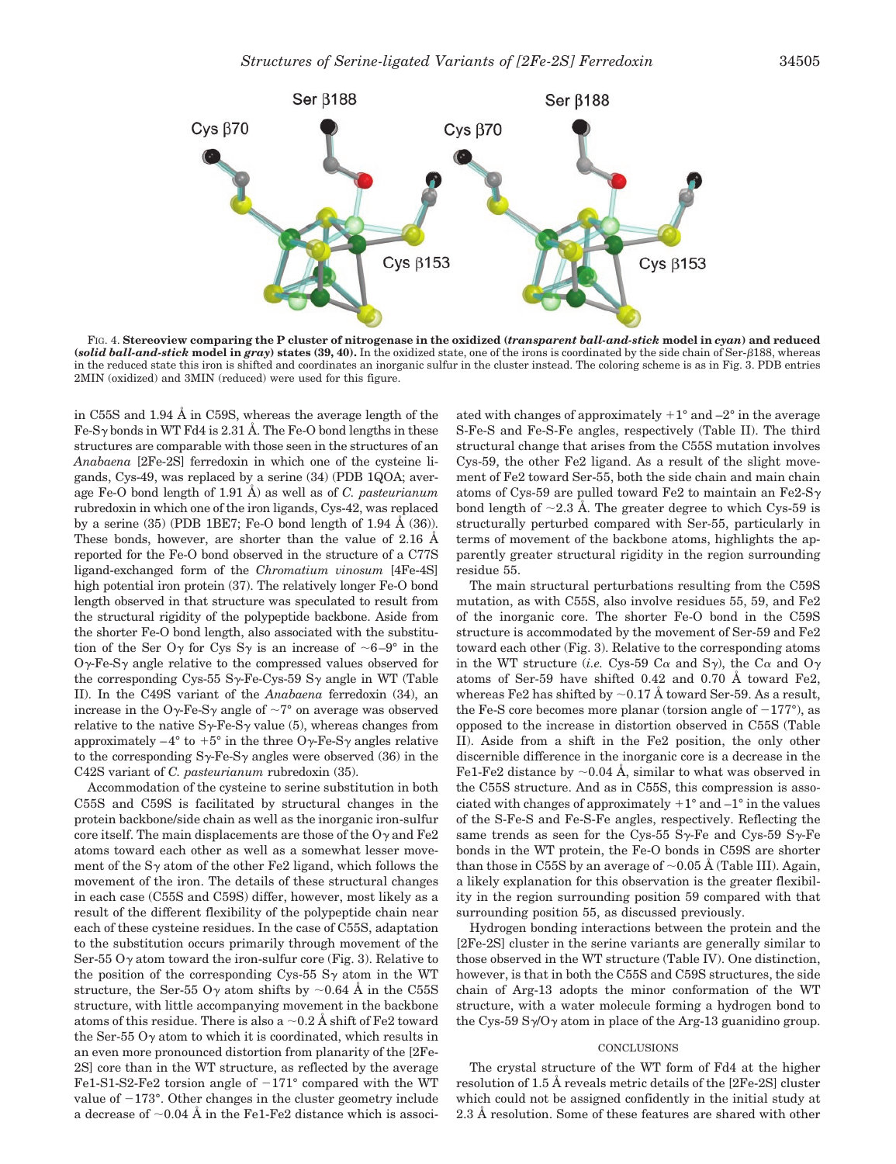

FIG. 4. **Stereoview comparing the P cluster of nitrogenase in the oxidized (***transparent ball-and-stick* **model in** *cyan***) and reduced** (solid ball-and-stick model in  $gray$ ) states  $(39, 40)$ . In the oxidized state, one of the irons is coordinated by the side chain of Ser- $\beta$ 188, whereas in the reduced state this iron is shifted and coordinates an inorganic sulfur in the cluster instead. The coloring scheme is as in Fig. 3. PDB entries 2MIN (oxidized) and 3MIN (reduced) were used for this figure.

in C55S and 1.94 Å in C59S, whereas the average length of the Fe-S $\gamma$  bonds in WT Fd4 is 2.31 Å. The Fe-O bond lengths in these structures are comparable with those seen in the structures of an *Anabaena* [2Fe-2S] ferredoxin in which one of the cysteine ligands, Cys-49, was replaced by a serine (34) (PDB 1QOA; average Fe-O bond length of 1.91 Å) as well as of *C. pasteurianum* rubredoxin in which one of the iron ligands, Cys-42, was replaced by a serine  $(35)$  (PDB 1BE7; Fe-O bond length of 1.94 Å  $(36)$ ). These bonds, however, are shorter than the value of 2.16 Å reported for the Fe-O bond observed in the structure of a C77S ligand-exchanged form of the *Chromatium vinosum* [4Fe-4S] high potential iron protein (37). The relatively longer Fe-O bond length observed in that structure was speculated to result from the structural rigidity of the polypeptide backbone. Aside from the shorter Fe-O bond length, also associated with the substitution of the Ser O<sub> $\gamma$ </sub> for Cys S<sub> $\gamma$ </sub> is an increase of  $\sim 6-9^{\circ}$  in the  $O_{\gamma}$ -Fe-S<sub> $\gamma$ </sub> angle relative to the compressed values observed for the corresponding Cys-55 S $\gamma$ -Fe-Cys-59 S $\gamma$  angle in WT (Table II). In the C49S variant of the *Anabaena* ferredoxin (34), an increase in the O $\gamma$ -Fe-S $\gamma$  angle of  $\sim$ 7° on average was observed relative to the native  $S_{\gamma}$ -Fe-S<sub> $\gamma$ </sub> value (5), whereas changes from approximately  $-4^{\circ}$  to  $+5^{\circ}$  in the three O $\gamma$ -Fe-S $\gamma$  angles relative to the corresponding  $S_{\gamma}$ -Fe-S<sub> $\gamma$ </sub> angles were observed (36) in the C42S variant of *C. pasteurianum* rubredoxin (35).

Accommodation of the cysteine to serine substitution in both C55S and C59S is facilitated by structural changes in the protein backbone/side chain as well as the inorganic iron-sulfur core itself. The main displacements are those of the  $O<sub>\gamma</sub>$  and Fe2 atoms toward each other as well as a somewhat lesser movement of the  $S<sub>Y</sub>$  atom of the other Fe2 ligand, which follows the movement of the iron. The details of these structural changes in each case (C55S and C59S) differ, however, most likely as a result of the different flexibility of the polypeptide chain near each of these cysteine residues. In the case of C55S, adaptation to the substitution occurs primarily through movement of the Ser-55  $O<sub>y</sub>$  atom toward the iron-sulfur core (Fig. 3). Relative to the position of the corresponding Cys-55  $S_{\gamma}$  atom in the WT structure, the Ser-55 O<sub> $\gamma$ </sub> atom shifts by  $\sim$  0.64 Å in the C55S structure, with little accompanying movement in the backbone atoms of this residue. There is also a  $\sim 0.2$  Å shift of Fe2 toward the Ser-55  $0\nu$  atom to which it is coordinated, which results in an even more pronounced distortion from planarity of the [2Fe-2S] core than in the WT structure, as reflected by the average Fe1-S1-S2-Fe2 torsion angle of  $-171^{\circ}$  compared with the WT value of  $-173^\circ$ . Other changes in the cluster geometry include a decrease of  $\sim 0.04$  Å in the Fe1-Fe2 distance which is associated with changes of approximately  $+1^{\circ}$  and  $-2^{\circ}$  in the average S-Fe-S and Fe-S-Fe angles, respectively (Table II). The third structural change that arises from the C55S mutation involves Cys-59, the other Fe2 ligand. As a result of the slight movement of Fe2 toward Ser-55, both the side chain and main chain atoms of Cys-59 are pulled toward Fe2 to maintain an Fe2-S $\gamma$ bond length of  $\sim$ 2.3 Å. The greater degree to which Cys-59 is structurally perturbed compared with Ser-55, particularly in terms of movement of the backbone atoms, highlights the apparently greater structural rigidity in the region surrounding residue 55.

The main structural perturbations resulting from the C59S mutation, as with C55S, also involve residues 55, 59, and Fe2 of the inorganic core. The shorter Fe-O bond in the C59S structure is accommodated by the movement of Ser-59 and Fe2 toward each other (Fig. 3). Relative to the corresponding atoms in the WT structure (*i.e.* Cys-59 C $\alpha$  and S $\gamma$ ), the C $\alpha$  and O $\gamma$ atoms of Ser-59 have shifted 0.42 and 0.70 Å toward Fe2, whereas Fe2 has shifted by  $\sim$  0.17 Å toward Ser-59. As a result, the Fe-S core becomes more planar (torsion angle of  $-177^{\circ}$ ), as opposed to the increase in distortion observed in C55S (Table II). Aside from a shift in the Fe2 position, the only other discernible difference in the inorganic core is a decrease in the Fe1-Fe2 distance by  $\sim 0.04$  Å, similar to what was observed in the C55S structure. And as in C55S, this compression is associated with changes of approximately  $+1^{\circ}$  and  $-1^{\circ}$  in the values of the S-Fe-S and Fe-S-Fe angles, respectively. Reflecting the same trends as seen for the Cys-55 S $\gamma$ -Fe and Cys-59 S $\gamma$ -Fe bonds in the WT protein, the Fe-O bonds in C59S are shorter than those in C55S by an average of  $\sim 0.05$  Å (Table III). Again, a likely explanation for this observation is the greater flexibility in the region surrounding position 59 compared with that surrounding position 55, as discussed previously.

Hydrogen bonding interactions between the protein and the [2Fe-2S] cluster in the serine variants are generally similar to those observed in the WT structure (Table IV). One distinction, however, is that in both the C55S and C59S structures, the side chain of Arg-13 adopts the minor conformation of the WT structure, with a water molecule forming a hydrogen bond to the Cys-59  $S\gamma$ /O $\gamma$  atom in place of the Arg-13 guanidino group.

# **CONCLUSIONS**

The crystal structure of the WT form of Fd4 at the higher resolution of 1.5 Å reveals metric details of the [2Fe-2S] cluster which could not be assigned confidently in the initial study at 2.3 Å resolution. Some of these features are shared with other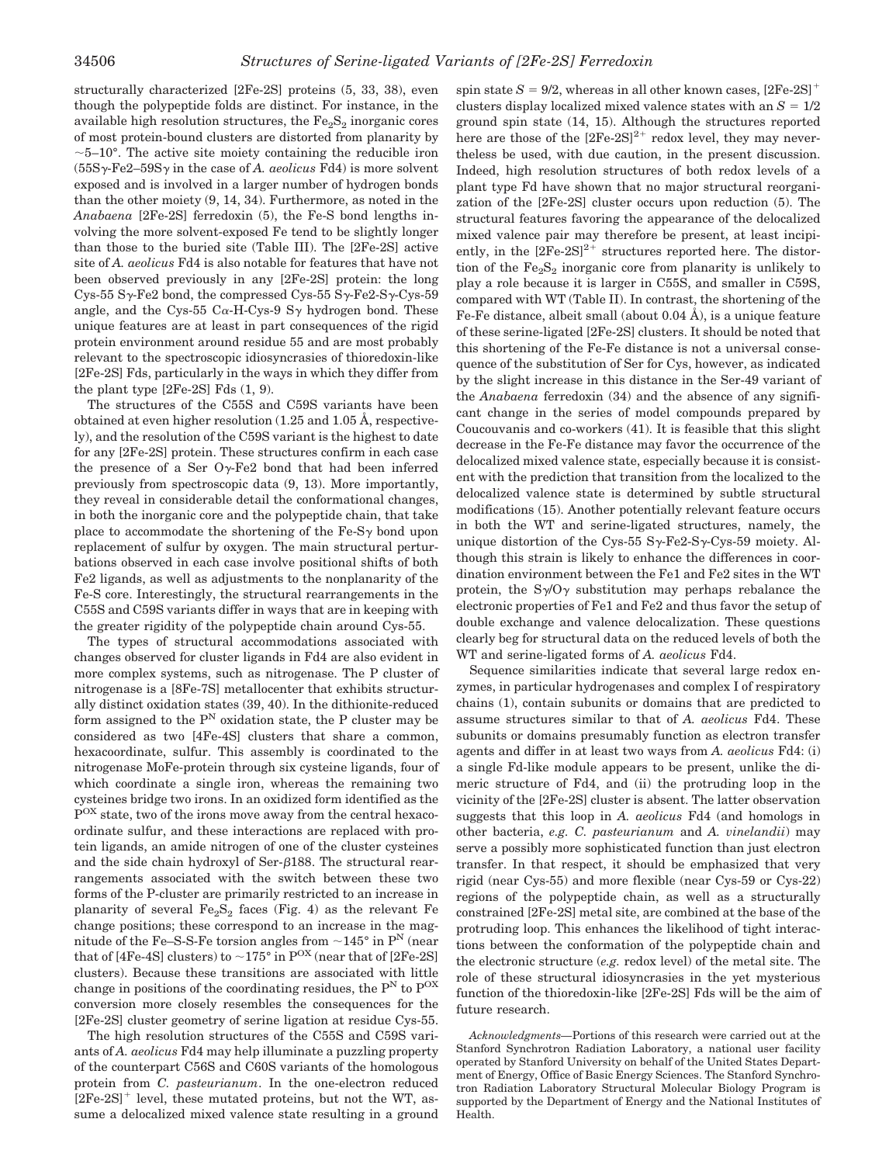structurally characterized [2Fe-2S] proteins (5, 33, 38), even though the polypeptide folds are distinct. For instance, in the available high resolution structures, the  $Fe<sub>2</sub>S<sub>2</sub>$  inorganic cores of most protein-bound clusters are distorted from planarity by  $\sim$ 5–10 $^{\circ}$ . The active site moiety containing the reducible iron  $(55S\gamma$ -Fe2–59S $\gamma$  in the case of *A. aeolicus* Fd4) is more solvent exposed and is involved in a larger number of hydrogen bonds than the other moiety (9, 14, 34). Furthermore, as noted in the *Anabaena* [2Fe-2S] ferredoxin (5), the Fe-S bond lengths involving the more solvent-exposed Fe tend to be slightly longer than those to the buried site (Table III). The [2Fe-2S] active site of *A. aeolicus* Fd4 is also notable for features that have not been observed previously in any [2Fe-2S] protein: the long Cys-55 S $\gamma$ -Fe2 bond, the compressed Cys-55 S $\gamma$ -Fe2-S $\gamma$ -Cys-59 angle, and the Cys-55 C $\alpha$ -H-Cys-9 S $\gamma$  hydrogen bond. These unique features are at least in part consequences of the rigid protein environment around residue 55 and are most probably relevant to the spectroscopic idiosyncrasies of thioredoxin-like [2Fe-2S] Fds, particularly in the ways in which they differ from the plant type [2Fe-2S] Fds (1, 9).

The structures of the C55S and C59S variants have been obtained at even higher resolution (1.25 and 1.05 Å, respectively), and the resolution of the C59S variant is the highest to date for any [2Fe-2S] protein. These structures confirm in each case the presence of a Ser  $O_{\gamma}$ -Fe2 bond that had been inferred previously from spectroscopic data (9, 13). More importantly, they reveal in considerable detail the conformational changes, in both the inorganic core and the polypeptide chain, that take place to accommodate the shortening of the  $Fe-Sy$  bond upon replacement of sulfur by oxygen. The main structural perturbations observed in each case involve positional shifts of both Fe2 ligands, as well as adjustments to the nonplanarity of the Fe-S core. Interestingly, the structural rearrangements in the C55S and C59S variants differ in ways that are in keeping with the greater rigidity of the polypeptide chain around Cys-55.

The types of structural accommodations associated with changes observed for cluster ligands in Fd4 are also evident in more complex systems, such as nitrogenase. The P cluster of nitrogenase is a [8Fe-7S] metallocenter that exhibits structurally distinct oxidation states (39, 40). In the dithionite-reduced form assigned to the  $P<sup>N</sup>$  oxidation state, the P cluster may be considered as two [4Fe-4S] clusters that share a common, hexacoordinate, sulfur. This assembly is coordinated to the nitrogenase MoFe-protein through six cysteine ligands, four of which coordinate a single iron, whereas the remaining two cysteines bridge two irons. In an oxidized form identified as the  $P<sup>OX</sup> state, two of the irons move away from the central hexac$ ordinate sulfur, and these interactions are replaced with protein ligands, an amide nitrogen of one of the cluster cysteines and the side chain hydroxyl of Ser- $\beta$ 188. The structural rearrangements associated with the switch between these two forms of the P-cluster are primarily restricted to an increase in planarity of several  $Fe<sub>2</sub>S<sub>2</sub>$  faces (Fig. 4) as the relevant Fe change positions; these correspond to an increase in the magnitude of the Fe–S-S-Fe torsion angles from  $\sim$ 145° in P<sup>N</sup> (near that of [4Fe-4S] clusters) to  $\sim$  175° in P<sup>OX</sup> (near that of [2Fe-2S] clusters). Because these transitions are associated with little change in positions of the coordinating residues, the  $P<sup>N</sup>$  to  $P<sup>OX</sup>$ conversion more closely resembles the consequences for the [2Fe-2S] cluster geometry of serine ligation at residue Cys-55.

The high resolution structures of the C55S and C59S variants of *A. aeolicus* Fd4 may help illuminate a puzzling property of the counterpart C56S and C60S variants of the homologous protein from *C. pasteurianum*. In the one-electron reduced  $[2Fe-2S]^+$  level, these mutated proteins, but not the WT, assume a delocalized mixed valence state resulting in a ground spin state  $S = 9/2$ , whereas in all other known cases,  $[2Fe-2S]^+$ clusters display localized mixed valence states with an  $S = 1/2$ ground spin state (14, 15). Although the structures reported here are those of the  $[2Fe-2S]^{2+}$  redox level, they may nevertheless be used, with due caution, in the present discussion. Indeed, high resolution structures of both redox levels of a plant type Fd have shown that no major structural reorganization of the [2Fe-2S] cluster occurs upon reduction (5). The structural features favoring the appearance of the delocalized mixed valence pair may therefore be present, at least incipiently, in the  $[2Fe-2S]^{2+}$  structures reported here. The distortion of the  $Fe<sub>2</sub>S<sub>2</sub>$  inorganic core from planarity is unlikely to play a role because it is larger in C55S, and smaller in C59S, compared with WT (Table II). In contrast, the shortening of the Fe-Fe distance, albeit small (about 0.04 Å), is a unique feature of these serine-ligated [2Fe-2S] clusters. It should be noted that this shortening of the Fe-Fe distance is not a universal consequence of the substitution of Ser for Cys, however, as indicated by the slight increase in this distance in the Ser-49 variant of the *Anabaena* ferredoxin (34) and the absence of any significant change in the series of model compounds prepared by Coucouvanis and co-workers (41). It is feasible that this slight decrease in the Fe-Fe distance may favor the occurrence of the delocalized mixed valence state, especially because it is consistent with the prediction that transition from the localized to the delocalized valence state is determined by subtle structural modifications (15). Another potentially relevant feature occurs in both the WT and serine-ligated structures, namely, the unique distortion of the Cys-55 S $\gamma$ -Fe2-S $\gamma$ -Cys-59 moiety. Although this strain is likely to enhance the differences in coordination environment between the Fe1 and Fe2 sites in the WT protein, the  $S\gamma/O\gamma$  substitution may perhaps rebalance the electronic properties of Fe1 and Fe2 and thus favor the setup of double exchange and valence delocalization. These questions clearly beg for structural data on the reduced levels of both the WT and serine-ligated forms of *A. aeolicus* Fd4.

Sequence similarities indicate that several large redox enzymes, in particular hydrogenases and complex I of respiratory chains (1), contain subunits or domains that are predicted to assume structures similar to that of *A. aeolicus* Fd4. These subunits or domains presumably function as electron transfer agents and differ in at least two ways from *A. aeolicus* Fd4: (i) a single Fd-like module appears to be present, unlike the dimeric structure of Fd4, and (ii) the protruding loop in the vicinity of the [2Fe-2S] cluster is absent. The latter observation suggests that this loop in *A. aeolicus* Fd4 (and homologs in other bacteria, *e.g. C. pasteurianum* and *A. vinelandii*) may serve a possibly more sophisticated function than just electron transfer. In that respect, it should be emphasized that very rigid (near Cys-55) and more flexible (near Cys-59 or Cys-22) regions of the polypeptide chain, as well as a structurally constrained [2Fe-2S] metal site, are combined at the base of the protruding loop. This enhances the likelihood of tight interactions between the conformation of the polypeptide chain and the electronic structure (*e.g.* redox level) of the metal site. The role of these structural idiosyncrasies in the yet mysterious function of the thioredoxin-like [2Fe-2S] Fds will be the aim of future research.

*Acknowledgments—*Portions of this research were carried out at the Stanford Synchrotron Radiation Laboratory, a national user facility operated by Stanford University on behalf of the United States Department of Energy, Office of Basic Energy Sciences. The Stanford Synchrotron Radiation Laboratory Structural Molecular Biology Program is supported by the Department of Energy and the National Institutes of Health.